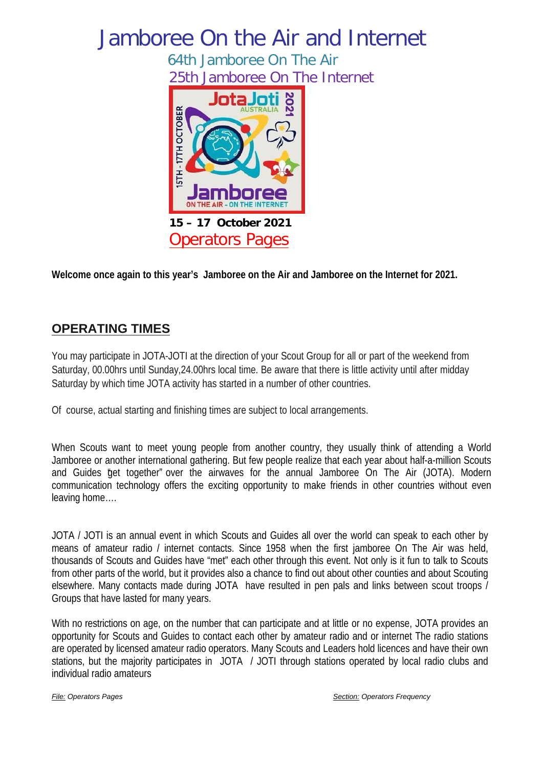# Jamboree On the Air and Internet

64th Jamboree On The Air 25th Jamboree On The Internet



**Welcome once again to this year's Jamboree on the Air and Jamboree on the Internet for 2021.**

# **OPERATING TIMES**

You may participate in JOTA-JOTI at the direction of your Scout Group for all or part of the weekend from Saturday, 00.00hrs until Sunday,24.00hrs local time. Be aware that there is little activity until after midday Saturday by which time JOTA activity has started in a number of other countries.

Of course, actual starting and finishing times are subject to local arrangements.

When Scouts want to meet young people from another country, they usually think of attending a World Jamboree or another international gathering. But few people realize that each year about half-a-million Scouts and Guides "get together" over the airwaves for the annual Jamboree On The Air (JOTA). Modern communication technology offers the exciting opportunity to make friends in other countries without even leaving home….

JOTA / JOTI is an annual event in which Scouts and Guides all over the world can speak to each other by means of amateur radio / internet contacts. Since 1958 when the first jamboree On The Air was held, thousands of Scouts and Guides have "met" each other through this event. Not only is it fun to talk to Scouts from other parts of the world, but it provides also a chance to find out about other counties and about Scouting elsewhere. Many contacts made during JOTA have resulted in pen pals and links between scout troops / Groups that have lasted for many years.

With no restrictions on age, on the number that can participate and at little or no expense, JOTA provides an opportunity for Scouts and Guides to contact each other by amateur radio and or internet The radio stations are operated by licensed amateur radio operators. Many Scouts and Leaders hold licences and have their own stations, but the majority participates in JOTA / JOTI through stations operated by local radio clubs and individual radio amateurs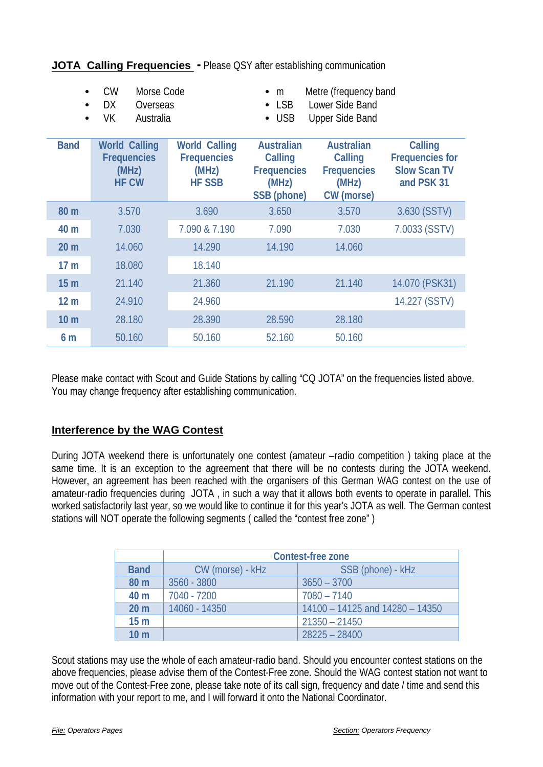|                 | <b>VK</b><br><b>Australia</b>                                       |                                                                      | $\bullet$ USB                                                                            | <b>Upper Side Band</b>                                                                  |                                                                               |
|-----------------|---------------------------------------------------------------------|----------------------------------------------------------------------|------------------------------------------------------------------------------------------|-----------------------------------------------------------------------------------------|-------------------------------------------------------------------------------|
| <b>Band</b>     | <b>World Calling</b><br><b>Frequencies</b><br>(MHz)<br><b>HF CW</b> | <b>World Calling</b><br><b>Frequencies</b><br>(MHz)<br><b>HF SSB</b> | <b>Australian</b><br><b>Calling</b><br><b>Frequencies</b><br>(MHz)<br><b>SSB</b> (phone) | <b>Australian</b><br><b>Calling</b><br><b>Frequencies</b><br>(MHz)<br><b>CW</b> (morse) | <b>Calling</b><br><b>Frequencies for</b><br><b>Slow Scan TV</b><br>and PSK 31 |
| 80 <sub>m</sub> | 3.570                                                               | 3.690                                                                | 3.650                                                                                    | 3.570                                                                                   | 3.630 (SSTV)                                                                  |
| 40 m            | 7.030                                                               | 7.090 & 7.190                                                        | 7.090                                                                                    | 7.030                                                                                   | 7.0033 (SSTV)                                                                 |
| 20 <sub>m</sub> | 14.060                                                              | 14.290                                                               | 14.190                                                                                   | 14.060                                                                                  |                                                                               |
| 17 <sub>m</sub> | 18.080                                                              | 18.140                                                               |                                                                                          |                                                                                         |                                                                               |
| 15 <sub>m</sub> | 21.140                                                              | 21.360                                                               | 21.190                                                                                   | 21.140                                                                                  | 14.070 (PSK31)                                                                |
| 12 <sub>m</sub> | 24.910                                                              | 24.960                                                               |                                                                                          |                                                                                         | 14.227 (SSTV)                                                                 |
| 10 <sub>m</sub> | 28.180                                                              | 28.390                                                               | 28.590                                                                                   | 28.180                                                                                  |                                                                               |
| 6 m             | 50.160                                                              | 50.160                                                               | 52.160                                                                                   | 50.160                                                                                  |                                                                               |

• CW Morse Code • m Metre (frequency band

 $\bullet$  LSB

#### **JOTA Calling Frequencies -** Please QSY after establishing communication

• DX Overseas • LSB Lower Side Band<br>
W Australia

Please make contact with Scout and Guide Stations by calling "CQ JOTA" on the frequencies listed above. You may change frequency after establishing communication.

#### **Interference by the WAG Contest**

During JOTA weekend there is unfortunately one contest (amateur –radio competition ) taking place at the same time. It is an exception to the agreement that there will be no contests during the JOTA weekend. However, an agreement has been reached with the organisers of this German WAG contest on the use of amateur-radio frequencies during JOTA , in such a way that it allows both events to operate in parallel. This worked satisfactorily last year, so we would like to continue it for this year's JOTA as well. The German contest stations will NOT operate the following segments ( called the "contest free zone" )

|                 | <b>Contest-free zone</b> |                                 |  |  |  |
|-----------------|--------------------------|---------------------------------|--|--|--|
| <b>Band</b>     | CW (morse) - kHz         | SSB (phone) - kHz               |  |  |  |
| 80 m            | 3560 - 3800              | $3650 - 3700$                   |  |  |  |
| 40 <sub>m</sub> | 7040 - 7200              | $7080 - 7140$                   |  |  |  |
| 20 <sub>m</sub> | 14060 - 14350            | 14100 - 14125 and 14280 - 14350 |  |  |  |
| 15 <sub>m</sub> |                          | $21350 - 21450$                 |  |  |  |
| 10 <sub>m</sub> |                          | $28225 - 28400$                 |  |  |  |

Scout stations may use the whole of each amateur-radio band. Should you encounter contest stations on the above frequencies, please advise them of the Contest-Free zone. Should the WAG contest station not want to move out of the Contest-Free zone, please take note of its call sign, frequency and date / time and send this information with your report to me, and I will forward it onto the National Coordinator.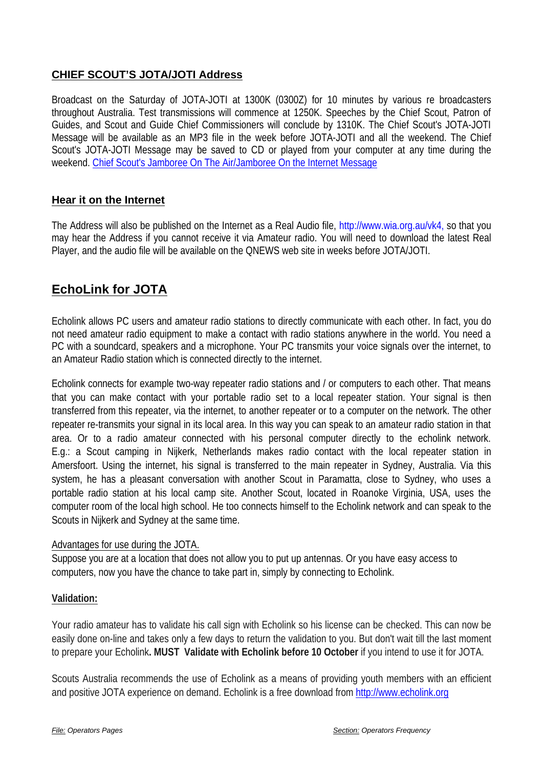### **CHIEF SCOUT'S JOTA/JOTI Address**

Broadcast on the Saturday of JOTA-JOTI at 1300K (0300Z) for 10 minutes by various re broadcasters throughout Australia. Test transmissions will commence at 1250K. Speeches by the Chief Scout, Patron of Guides, and Scout and Guide Chief Commissioners will conclude by 1310K. The Chief Scout's JOTA-JOTI Message will be available as an MP3 file in the week before JOTA-JOTI and all the weekend. The Chief Scout's JOTA-JOTI Message may be saved to CD or played from your computer at any time during the weekend. [Chief Scout's Jamboree On The Air/Jamboree On the Internet Message](http://www.scouts.com.au/main.asp?iStoryID=1939)

#### **Hear it on the Internet**

The Address will also be published on the Internet as a Real Audio file, http://www.wia.org.au/vk4, so that you may hear the Address if you cannot receive it via Amateur radio. You will need to download the latest Real Player, and the audio file will be available on the QNEWS web site in weeks before JOTA/JOTI.

# **EchoLink for JOTA**

Echolink allows PC users and amateur radio stations to directly communicate with each other. In fact, you do not need amateur radio equipment to make a contact with radio stations anywhere in the world. You need a PC with a soundcard, speakers and a microphone. Your PC transmits your voice signals over the internet, to an Amateur Radio station which is connected directly to the internet.

Echolink connects for example two-way repeater radio stations and / or computers to each other. That means that you can make contact with your portable radio set to a local repeater station. Your signal is then transferred from this repeater, via the internet, to another repeater or to a computer on the network. The other repeater re-transmits your signal in its local area. In this way you can speak to an amateur radio station in that area. Or to a radio amateur connected with his personal computer directly to the echolink network. E.g.: a Scout camping in Nijkerk, Netherlands makes radio contact with the local repeater station in Amersfoort. Using the internet, his signal is transferred to the main repeater in Sydney, Australia. Via this system, he has a pleasant conversation with another Scout in Paramatta, close to Sydney, who uses a portable radio station at his local camp site. Another Scout, located in Roanoke Virginia, USA, uses the computer room of the local high school. He too connects himself to the Echolink network and can speak to the Scouts in Nijkerk and Sydney at the same time.

#### Advantages for use during the JOTA.

Suppose you are at a location that does not allow you to put up antennas. Or you have easy access to computers, now you have the chance to take part in, simply by connecting to Echolink.

#### **Validation:**

Your radio amateur has to validate his call sign with Echolink so his license can be checked. This can now be easily done on-line and takes only a few days to return the validation to you. But don't wait till the last moment to prepare your Echolink**. MUST Validate with Echolink before 10 October** if you intend to use it for JOTA.

Scouts Australia recommends the use of Echolink as a means of providing youth members with an efficient and positive JOTA experience on demand. Echolink is a free download from [http://www.echolink.org](http://www.echolink.org/)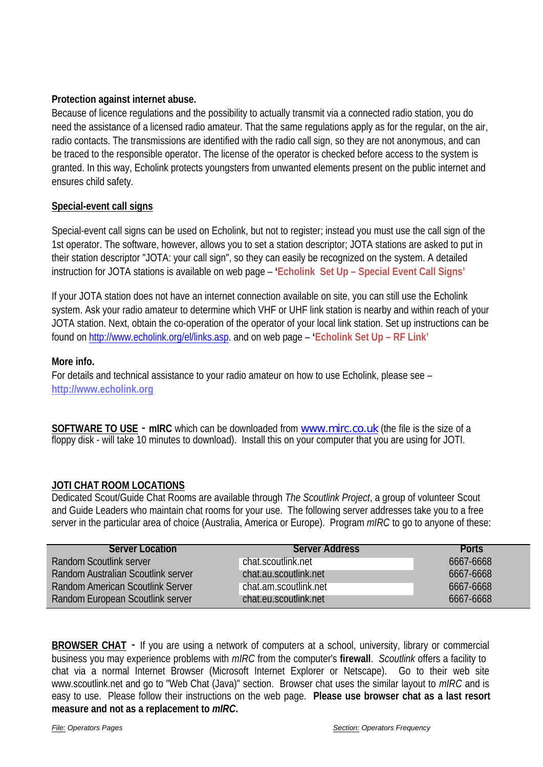#### **Protection against internet abuse.**

Because of licence regulations and the possibility to actually transmit via a connected radio station, you do need the assistance of a licensed radio amateur. That the same regulations apply as for the regular, on the air, radio contacts. The transmissions are identified with the radio call sign, so they are not anonymous, and can be traced to the responsible operator. The license of the operator is checked before access to the system is granted. In this way, Echolink protects youngsters from unwanted elements present on the public internet and ensures child safety.

#### **Special-event call signs**

Special-event call signs can be used on Echolink, but not to register; instead you must use the call sign of the 1st operator. The software, however, allows you to set a station descriptor; JOTA stations are asked to put in their station descriptor "JOTA: your call sign", so they can easily be recognized on the system. A detailed instruction for JOTA stations is available on web page – **'Echolink Set Up – Special Event Call Signs'**

If your JOTA station does not have an internet connection available on site, you can still use the Echolink system. Ask your radio amateur to determine which VHF or UHF link station is nearby and within reach of your JOTA station. Next, obtain the co-operation of the operator of your local link station. Set up instructions can be found o[n http://www.echolink.org/el/links.asp.](http://www.echolink.org/el/links.asp) and on web page – **'Echolink Set Up – RF Link'**

#### **More info.**

For details and technical assistance to your radio amateur on how to use Echolink, please see – **http://www.echolink.org**

**SOFTWARE TO USE** - **mIRC** which can be downloaded from [www.mirc.co.uk](http://www.mirc.co.uk/) (the file is the size of a floppy disk - will take 10 minutes to download). Install this on your computer that you are using for JOTI.

#### **JOTI CHAT ROOM LOCATIONS**

Dedicated Scout/Guide Chat Rooms are available through *The Scoutlink Project*, a group of volunteer Scout and Guide Leaders who maintain chat rooms for your use. The following server addresses take you to a free server in the particular area of choice (Australia, America or Europe). Program *mIRC* to go to anyone of these:

| <b>Server Location</b>                    | <b>Server Address</b> | <b>Ports</b> |
|-------------------------------------------|-----------------------|--------------|
| <b>Random Scoutlink server</b>            | chat.scoutlink.net    | 6667-6668    |
| <b>Random Australian Scoutlink server</b> | chat.au.scoutlink.net | 6667-6668    |
| <b>Random American Scoutlink Server</b>   | chat.am.scoutlink.net | 6667-6668    |
| Random European Scoutlink server          | chat.eu.scoutlink.net | 6667-6668    |

**BROWSER CHAT** - If you are using a network of computers at a school, university, library or commercial business you may experience problems with *mIRC* from the computer's **firewall**. *Scoutlink* offers a facility to chat via a normal Internet Browser (Microsoft Internet Explorer or Netscape). Go to their web site www.scoutlink.net and go to "Web Chat (Java)" section. Browser chat uses the similar layout to *mIRC* and is easy to use. Please follow their instructions on the web page. **Please use browser chat as a last resort measure and not as a replacement to** *mIRC***.**